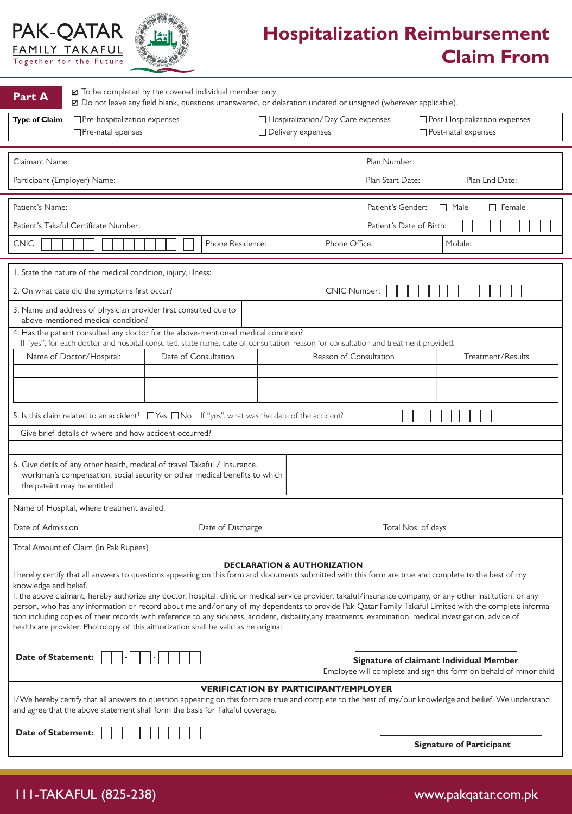

i.

J.



# **Hospitalization Reimbursement Claim From**

| <b>Part A</b>                                                                                                                                                                                                                                                                                                                                                                                                                                                                                                                                                                                                                                                                                                                                                | ☑ To be completed by the covered individual member only<br>☑ Do not leave any field blank, questions unanswered, or delaration undated or unsigned (wherever applicable).                                                 |                      |                                        |                                                          |                                                   |                |                                                          |  |
|--------------------------------------------------------------------------------------------------------------------------------------------------------------------------------------------------------------------------------------------------------------------------------------------------------------------------------------------------------------------------------------------------------------------------------------------------------------------------------------------------------------------------------------------------------------------------------------------------------------------------------------------------------------------------------------------------------------------------------------------------------------|---------------------------------------------------------------------------------------------------------------------------------------------------------------------------------------------------------------------------|----------------------|----------------------------------------|----------------------------------------------------------|---------------------------------------------------|----------------|----------------------------------------------------------|--|
| <b>Type of Claim</b>                                                                                                                                                                                                                                                                                                                                                                                                                                                                                                                                                                                                                                                                                                                                         | $\Box$ Pre-hospitalization expenses<br>□ Pre-natal epenses                                                                                                                                                                |                      |                                        | □ Hospitalization/Day Care expenses<br>Delivery expenses |                                                   |                | □ Post Hospitalization expenses<br>□ Post-natal expenses |  |
| Claimant Name:                                                                                                                                                                                                                                                                                                                                                                                                                                                                                                                                                                                                                                                                                                                                               |                                                                                                                                                                                                                           |                      |                                        |                                                          |                                                   | Plan Number:   |                                                          |  |
| Participant (Employer) Name:                                                                                                                                                                                                                                                                                                                                                                                                                                                                                                                                                                                                                                                                                                                                 |                                                                                                                                                                                                                           |                      |                                        |                                                          | Plan Start Date:                                  | Plan End Date: |                                                          |  |
| Patient's Name:                                                                                                                                                                                                                                                                                                                                                                                                                                                                                                                                                                                                                                                                                                                                              |                                                                                                                                                                                                                           |                      |                                        |                                                          | Patient's Gender:<br>$\Box$ Female<br>$\Box$ Male |                |                                                          |  |
| Patient's Takaful Certificate Number:                                                                                                                                                                                                                                                                                                                                                                                                                                                                                                                                                                                                                                                                                                                        |                                                                                                                                                                                                                           |                      |                                        |                                                          | Patient's Date of Birth:                          |                |                                                          |  |
| Phone Residence:<br>CNIC:                                                                                                                                                                                                                                                                                                                                                                                                                                                                                                                                                                                                                                                                                                                                    |                                                                                                                                                                                                                           |                      |                                        | Phone Office:                                            |                                                   | Mobile:        |                                                          |  |
|                                                                                                                                                                                                                                                                                                                                                                                                                                                                                                                                                                                                                                                                                                                                                              | I. State the nature of the medical condition, injury, illness:                                                                                                                                                            |                      |                                        |                                                          |                                                   |                |                                                          |  |
|                                                                                                                                                                                                                                                                                                                                                                                                                                                                                                                                                                                                                                                                                                                                                              | 2. On what date did the symptoms first occur?                                                                                                                                                                             |                      |                                        |                                                          | <b>CNIC Number:</b>                               |                |                                                          |  |
|                                                                                                                                                                                                                                                                                                                                                                                                                                                                                                                                                                                                                                                                                                                                                              | 3. Name and address of physician provider first consulted due to<br>above-mentioned medical condition?                                                                                                                    |                      |                                        |                                                          |                                                   |                |                                                          |  |
|                                                                                                                                                                                                                                                                                                                                                                                                                                                                                                                                                                                                                                                                                                                                                              | 4. Has the patient consulted any doctor for the above-mentioned medical condition?<br>If "yes", for each doctor and hospital consulted. state name, date of consultation, reason for consultation and treatment provided. |                      |                                        |                                                          |                                                   |                |                                                          |  |
|                                                                                                                                                                                                                                                                                                                                                                                                                                                                                                                                                                                                                                                                                                                                                              | Name of Doctor/Hospital:                                                                                                                                                                                                  | Date of Consultation |                                        |                                                          | Reason of Consultation                            |                | Treatment/Results                                        |  |
|                                                                                                                                                                                                                                                                                                                                                                                                                                                                                                                                                                                                                                                                                                                                                              |                                                                                                                                                                                                                           |                      |                                        |                                                          |                                                   |                |                                                          |  |
|                                                                                                                                                                                                                                                                                                                                                                                                                                                                                                                                                                                                                                                                                                                                                              |                                                                                                                                                                                                                           |                      |                                        |                                                          |                                                   |                |                                                          |  |
|                                                                                                                                                                                                                                                                                                                                                                                                                                                                                                                                                                                                                                                                                                                                                              | 5. Is this claim related to an accident? $\Box$ Yes $\Box$ No If "yes". what was the date of the accident?                                                                                                                |                      |                                        |                                                          |                                                   |                |                                                          |  |
|                                                                                                                                                                                                                                                                                                                                                                                                                                                                                                                                                                                                                                                                                                                                                              | Give brief details of where and how accident occurred?                                                                                                                                                                    |                      |                                        |                                                          |                                                   |                |                                                          |  |
| 6. Give detils of any other health, medical of travel Takaful / Insurance,<br>workman's compensation, social security or other medical benefits to which<br>the pateint may be entitled                                                                                                                                                                                                                                                                                                                                                                                                                                                                                                                                                                      |                                                                                                                                                                                                                           |                      |                                        |                                                          |                                                   |                |                                                          |  |
|                                                                                                                                                                                                                                                                                                                                                                                                                                                                                                                                                                                                                                                                                                                                                              | Name of Hospital, where treatment availed:                                                                                                                                                                                |                      |                                        |                                                          |                                                   |                |                                                          |  |
| Date of Admission                                                                                                                                                                                                                                                                                                                                                                                                                                                                                                                                                                                                                                                                                                                                            |                                                                                                                                                                                                                           |                      | Date of Discharge                      |                                                          |                                                   |                | Total Nos. of days                                       |  |
|                                                                                                                                                                                                                                                                                                                                                                                                                                                                                                                                                                                                                                                                                                                                                              | Total Amount of Claim (In Pak Rupees)                                                                                                                                                                                     |                      |                                        |                                                          |                                                   |                |                                                          |  |
|                                                                                                                                                                                                                                                                                                                                                                                                                                                                                                                                                                                                                                                                                                                                                              |                                                                                                                                                                                                                           |                      | <b>DECLARATION &amp; AUTHORIZATION</b> |                                                          |                                                   |                |                                                          |  |
| I hereby certify that all answers to questions appearing on this form and documents submitted with this form are true and complete to the best of my<br>knowledge and belief.<br>I, the above claimant, hereby authorize any doctor, hospital, clinic or medical service provider, takaful/insurance company, or any other institution, or any<br>person, who has any information or record about me and/or any of my dependents to provide Pak-Qatar Family Takaful Limited with the complete informa-<br>tion including copies of their records with reference to any sickness, accident, disbaility, any treatments, examination, medical investigation, advice of<br>healthcare provider. Photocopy of this aithorization shall be valid as he original. |                                                                                                                                                                                                                           |                      |                                        |                                                          |                                                   |                |                                                          |  |
| <b>Date of Statement:</b><br>Signature of claimant Individual Member<br>Employee will complete and sign this form on behald of minor child                                                                                                                                                                                                                                                                                                                                                                                                                                                                                                                                                                                                                   |                                                                                                                                                                                                                           |                      |                                        |                                                          |                                                   |                |                                                          |  |
| <b>VERIFICATION BY PARTICIPANT/EMPLOYER</b><br>I/We hereby certify that all answers to question appearing on this form are true and complete to the best of my/our knowledge and beilief. We understand<br>and agree that the above statement shall form the basis for Takaful coverage.                                                                                                                                                                                                                                                                                                                                                                                                                                                                     |                                                                                                                                                                                                                           |                      |                                        |                                                          |                                                   |                |                                                          |  |
| <b>Date of Statement:</b><br><b>Signature of Participant</b>                                                                                                                                                                                                                                                                                                                                                                                                                                                                                                                                                                                                                                                                                                 |                                                                                                                                                                                                                           |                      |                                        |                                                          |                                                   |                |                                                          |  |
|                                                                                                                                                                                                                                                                                                                                                                                                                                                                                                                                                                                                                                                                                                                                                              |                                                                                                                                                                                                                           |                      |                                        |                                                          |                                                   |                |                                                          |  |

111-TAKAFUL (825-238) www.pakqatar.com.pk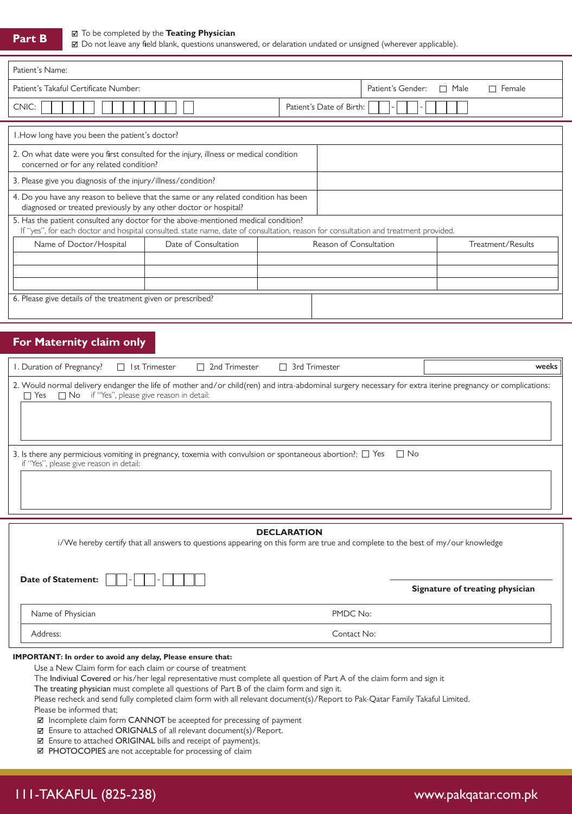#### To be completed by the **Teating Physician**

Do not leave any field blank, questions unanswered, or delaration undated or unsigned (wherever applicable).

| Patient's Name:                                                                                                                                                                                                           |                      |                                  |                          |                   |  |  |
|---------------------------------------------------------------------------------------------------------------------------------------------------------------------------------------------------------------------------|----------------------|----------------------------------|--------------------------|-------------------|--|--|
| Patient's Takaful Certificate Number:                                                                                                                                                                                     |                      | Patient's Gender:<br>$\Box$ Male | Female                   |                   |  |  |
| CNIC:                                                                                                                                                                                                                     |                      |                                  | Patient's Date of Birth: |                   |  |  |
| I. How long have you been the patient's doctor?                                                                                                                                                                           |                      |                                  |                          |                   |  |  |
| 2. On what date were you first consulted for the injury, illness or medical condition<br>concerned or for any related condition?                                                                                          |                      |                                  |                          |                   |  |  |
| 3. Please give you diagnosis of the injury/illness/condition?                                                                                                                                                             |                      |                                  |                          |                   |  |  |
| 4. Do you have any reason to believe that the same or any related condition has been<br>diagnosed or treated previously by any other doctor or hospital?                                                                  |                      |                                  |                          |                   |  |  |
| 5. Has the patient consulted any doctor for the above-mentioned medical condition?<br>If "yes", for each doctor and hospital consulted. state name, date of consultation, reason for consultation and treatment provided. |                      |                                  |                          |                   |  |  |
| Name of Doctor/Hospital                                                                                                                                                                                                   | Date of Consultation | Reason of Consultation           |                          | Treatment/Results |  |  |
|                                                                                                                                                                                                                           |                      |                                  |                          |                   |  |  |
|                                                                                                                                                                                                                           |                      |                                  |                          |                   |  |  |
| 6. Please give details of the treatment given or prescribed?                                                                                                                                                              |                      |                                  |                          |                   |  |  |

### **For Maternity claim only**

| I. Duration of Pregnancy?<br>$\Box$ 2nd Trimester<br>$\Box$ Ist Trimester<br>$\Box$ 3rd Trimester                                                                                                                   | weeks     |
|---------------------------------------------------------------------------------------------------------------------------------------------------------------------------------------------------------------------|-----------|
| 2. Would normal delivery endanger the life of mother and/or child(ren) and intra-abdominal surgery necessary for extra iterine pregnancy or complications:<br>Yes $\Box$ No if "Yes", please give reason in detail: |           |
| 3. Is there any permicious vomiting in pregnancy, toxemia with convulsion or spontaneous abortion?: $\square$ Yes<br>if "Yes", please give reason in detail:                                                        | $\Box$ No |

| <b>DECLARATION</b><br>i/We hereby certify that all answers to questions appearing on this form are true and complete to the best of my/our knowledge |                                 |  |  |  |  |
|------------------------------------------------------------------------------------------------------------------------------------------------------|---------------------------------|--|--|--|--|
| <b>Date of Statement:</b><br>$\sim$<br>$\sim$                                                                                                        | Signature of treating physician |  |  |  |  |
| Name of Physician                                                                                                                                    | PMDC No:                        |  |  |  |  |
| Address:                                                                                                                                             | Contact No:                     |  |  |  |  |

### **IMPORTANT: In order to avoid any delay, Please ensure that:**

Use a New Claim form for each claim or course of treatment

The Indiviual Covered or his/her legal representative must complete all question of Part A of the claim form and sign it

The treating physician must complete all questions of Part B of the claim form and sign it.

Please recheck and send fully completed claim form with all relevant document(s)/Report to Pak-Qatar Family Takaful Limited. Please be informed that;

Incomplete claim form CANNOT be aceepted for precessing of payment

Ensure to attached ORIGNALS of all relevant document(s)/Report.

Ensure to attached ORIGINAL bills and receipt of payment)s.

■ PHOTOCOPIES are not acceptable for processing of claim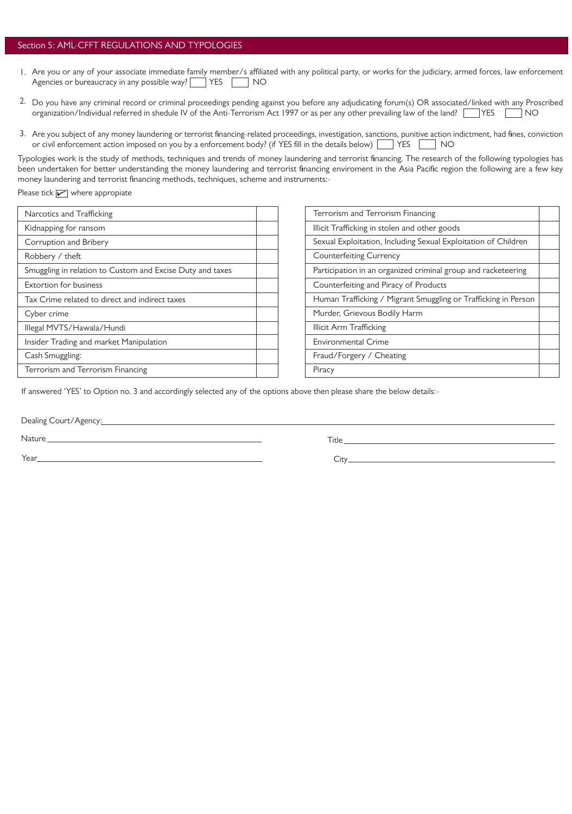### Section 5: AML-CFFT REGULATIONS AND TYPOLOGIES

- 1. Are you or any of your associate immediate family member/s affiliated with any political party, or works for the judiciary, armed forces, law enforcement Agencies or bureaucracy in any possible way? THES NO
- Do you have any criminal record or criminal proceedings pending against you before any adjudicating forum(s) OR associated/linked with any Proscribed 2. organization/Individual referred in shedule IV of the Anti-Terrorism Act 1997 or as per any other prevailing law of the land? YES MO
- Are you subject of any money laundering or terrorist financing-related proceedings, investigation, sanctions, punitive action indictment, had fines, conviction 3.or civil enforcement action imposed on you by a enforcement body? (if YES fill in the details below) YES NO

Typologies work is the study of methods, techniques and trends of money laundering and terrorist financing. The research of the following typologies has been undertaken for better understanding the money laundering and terrorist financing enviroment in the Asia Pacific region the following are a few key money laundering and terrorist financing methods, techniques, scheme and instruments:-

Please tick  $\sqrt{\phantom{a}}$  where appropiate

| Narcotics and Trafficking                                 |  |
|-----------------------------------------------------------|--|
| Kidnapping for ransom                                     |  |
| Corruption and Bribery                                    |  |
| Robbery / theft                                           |  |
| Smuggling in relation to Custom and Excise Duty and taxes |  |
| <b>Extortion for business</b>                             |  |
| Tax Crime related to direct and indirect taxes            |  |
| Cyber crime                                               |  |
| Illegal MVTS/Hawala/Hundi                                 |  |
| Insider Trading and market Manipulation                   |  |
| Cash Smuggling:                                           |  |
| Terrorism and Terrorism Financing                         |  |

| Terrorism and Terrorism Financing                              |  |
|----------------------------------------------------------------|--|
| Illicit Trafficking in stolen and other goods                  |  |
| Sexual Exploitation, Including Sexual Exploitation of Children |  |
| <b>Counterfeiting Currency</b>                                 |  |
| Participation in an organized criminal group and racketeering  |  |
| Counterfeiting and Piracy of Products                          |  |
| Human Trafficking / Migrant Smuggling or Trafficking in Person |  |
| Murder, Grievous Bodily Harm                                   |  |
| Illicit Arm Trafficking                                        |  |
| <b>Environmental Crime</b>                                     |  |
| Fraud/Forgery / Cheating                                       |  |
| Piracy                                                         |  |

If answered 'YES' to Option no. 3 and accordingly selected any of the options above then please share the below details:-

Dealing Court/Agency: 2008

Nature

Year\_

Title **The Community of the Community Community** 

City